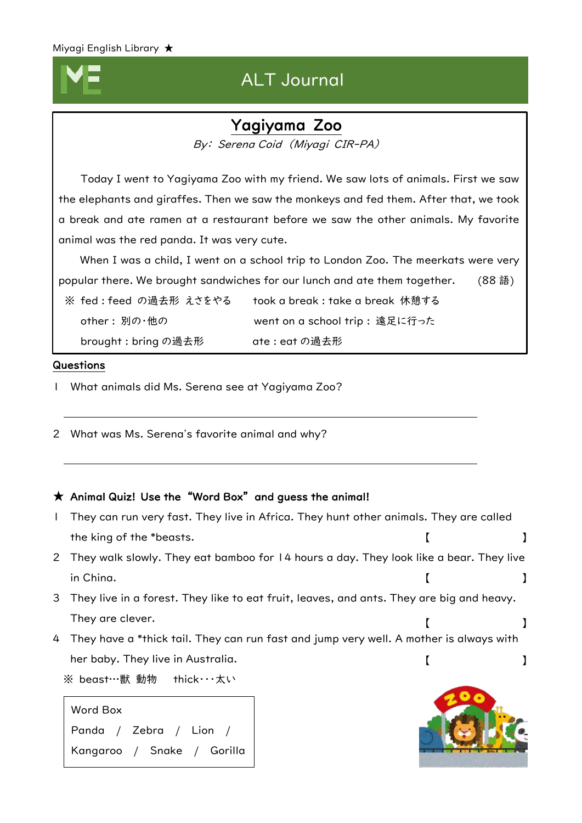## ALT Journal

## Yagiyama Zoo

By: Serena Coid (Miyagi CIR-PA)

 Today I went to Yagiyama Zoo with my friend. We saw lots of animals. First we saw the elephants and giraffes. Then we saw the monkeys and fed them. After that, we took a break and ate ramen at a restaurant before we saw the other animals. My favorite animal was the red panda. It was very cute.

 When I was a child, I went on a school trip to London Zoo. The meerkats were very popular there. We brought sandwiches for our lunch and ate them together. (88語)

※ fed : feed の過去形 えさをやる took a break : take a break 休憩する other : 別の・他の went on a school trip : 遠足に行った brought : bring の過去形 ate : eat の過去形

### Questions

I I I I I  $\overline{\phantom{a}}$ 

- 1 What animals did Ms. Serena see at Yagiyama Zoo?
- 2 What was Ms. Serena's favorite animal and why?

### $\star$  Animal Quiz! Use the "Word Box" and guess the animal!

1 They can run very fast. They live in Africa. They hunt other animals. They are called the king of the \*beasts. 2 They walk slowly. They eat bamboo for 14 hours a day. They look like a bear. They live in China. 3 They live in a forest. They like to eat fruit, leaves, and ants. They are big and heavy. They are clever. 4 They have a \*thick tail. They can run fast and jump very well. A mother is always with her baby. They live in Australia. ※ beast…獣 動物 thick…太い 【 】 【 】 【 】 【 】



Word Box Panda / Zebra / Lion / Kangaroo / Snake / Gorilla